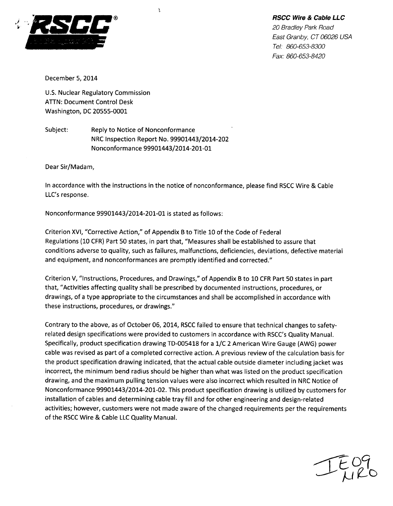## *RSCC Wire & Cable LLC*



*20 Bradley Park Road East Granby, CT 06026 USA Tel: 860-653-8300 Fax: 860-653-8420*

December 5, 2014

U.S. Nuclear Regulatory Commission ATTN: Document Control Desk Washington, DC 20555-0001

Subject: Reply to Notice of Nonconformance NRC Inspection Report No. 99901443/2014-202 Nonconformance 99901443/2014-201-01

Y.

Dear Sir/Madam,

In accordance with the instructions in the notice of nonconformance, please find RSCC Wire & Cable LLC's response.

Nonconformance 99901443/2014-201-01 is stated as follows:

Criterion XVI, "Corrective Action," of Appendix B to Title 10 of the Code of Federal Regulations (10 CFR) Part 50 states, in part that, "Measures shall be established to assure that conditions adverse to quality, such as failures, malfunctions, deficiencies, deviations, defective material and equipment, and nonconformances are promptly identified and corrected."

Criterion V, "Instructions, Procedures, and Drawings," of Appendix B to 10 CFR Part 50 states in part that, "Activities affecting quality shall be prescribed by documented instructions, procedures, or drawings, of a type appropriate to the circumstances and shall be accomplished in accordance with these instructions, procedures, or drawings."

Contrary to the above, as of October 06, 2014, RSCC failed to ensure that technical changes to safetyrelated design specifications were provided to customers in accordance with RSCC's Quality Manual. Specifically, product specification drawing TD-005418 for a 1/C 2 American Wire Gauge (AWG) power cable was revised as part of a completed corrective action. A previous review of the calculation basis for the product specification drawing indicated, that the actual cable outside diameter including jacket was incorrect, the minimum bend radius should be higher than what was listed on the product specification drawing, and the maximum pulling tension values were also incorrect which resulted in NRC Notice of Nonconformance 99901443/2014-201-02. This product specification drawing is utilized by customers for installation of cables and determining cable tray fill and for other engineering and design-related activities; however, customers were not made aware of the changed requirements per the requirements of the RSCC Wire & Cable LLC Quality Manual.